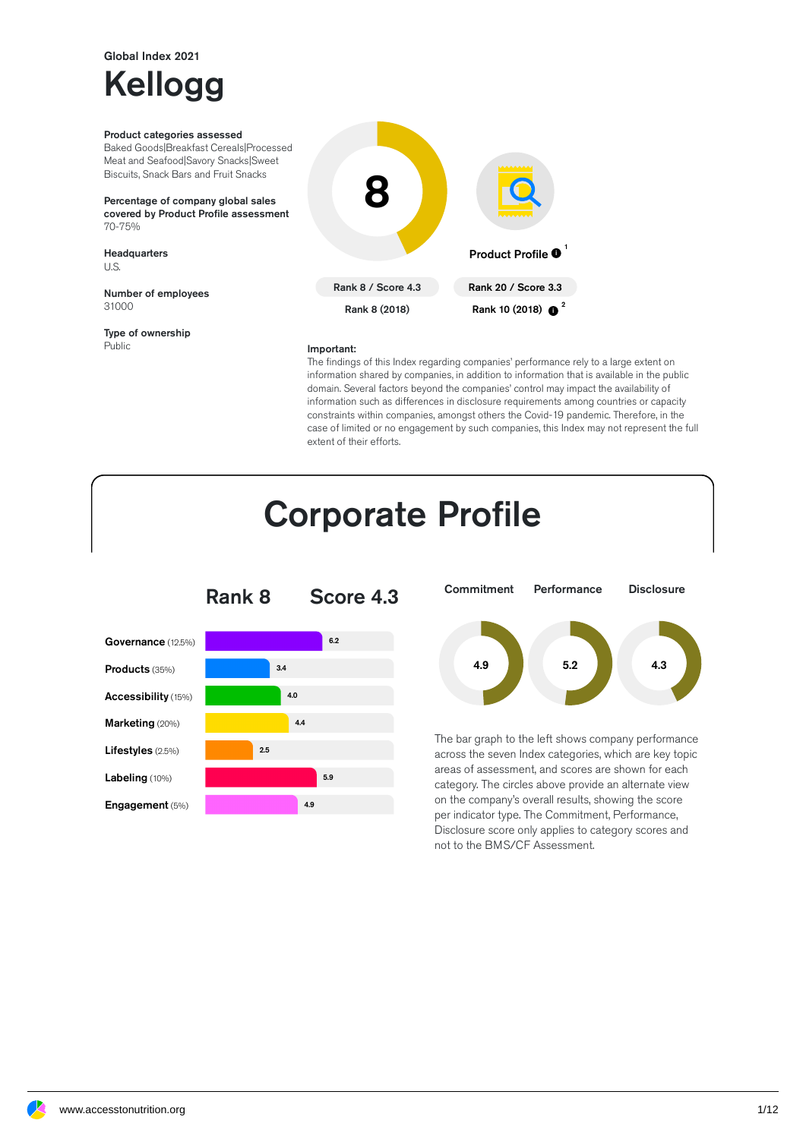### Global Index 2021

# Kellogg

#### Product categories assessed

Baked Goods|Breakfast Cereals|Processed Meat and Seafood|Savory Snacks|Sweet Biscuits, Snack Bars and Fruit Snacks

Percentage of company global sales covered by Product Profile assessment 70-75%

Headquarters U.S.

Number of employees 31000

Type of ownership Public



#### Important:

The findings of this Index regarding companies' performance rely to a large extent on information shared by companies, in addition to information that is available in the public domain. Several factors beyond the companies' control may impact the availability of information such as differences in disclosure requirements among countries or capacity constraints within companies, amongst others the Covid-19 pandemic. Therefore, in the case of limited or no engagement by such companies, this Index may not represent the full extent of their efforts.

### **Corporate Profile**





The bar graph to the left shows company performance across the seven Index categories, which are key topic areas of assessment, and scores are shown for each category. The circles above provide an alternate view on the company's overall results, showing the score per indicator type. The Commitment, Performance, Disclosure score only applies to category scores and not to the BMS/CF Assessment.

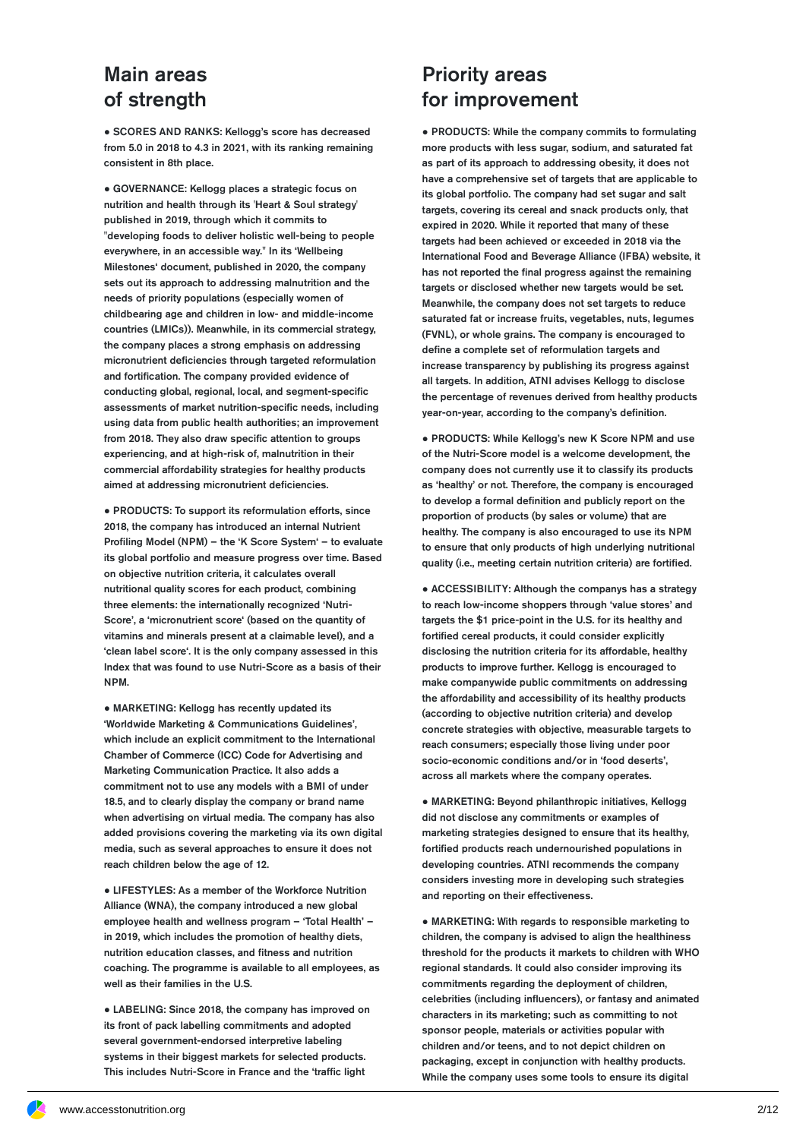#### Main areas of strength

● SCORES AND RANKS: Kellogg's score has decreased from 5.0 in 2018 to 4.3 in 2021, with its ranking remaining consistent in 8th place.

● GOVERNANCE: Kellogg places a strategic focus on nutrition and health through its 'Heart & Soul strategy' published in 2019, through which it commits to "developing foods to deliver holistic well-being to people everywhere, in an accessible way." In its 'Wellbeing Milestones' document, published in 2020, the company sets out its approach to addressing malnutrition and the needs of priority populations (especially women of childbearing age and children in low- and middle-income countries (LMICs)). Meanwhile, in its commercial strategy, the company places a strong emphasis on addressing micronutrient deficiencies through targeted reformulation and fortification. The company provided evidence of conducting global, regional, local, and segment-specific assessments of market nutrition-specific needs, including using data from public health authorities; an improvement from 2018. They also draw specific attention to groups experiencing, and at high-risk of, malnutrition in their commercial affordability strategies for healthy products aimed at addressing micronutrient deficiencies.

● PRODUCTS: To support its reformulation efforts, since 2018, the company has introduced an internal Nutrient Profiling Model (NPM) – the 'K Score System' – to evaluate its global portfolio and measure progress over time. Based on objective nutrition criteria, it calculates overall nutritional quality scores for each product, combining three elements: the internationally recognized 'Nutri-Score', a 'micronutrient score' (based on the quantity of vitamins and minerals present at a claimable level), and a 'clean label score'. It is the only company assessed in this Index that was found to use Nutri-Score as a basis of their NPM.

● MARKETING: Kellogg has recently updated its 'Worldwide Marketing & Communications Guidelines', which include an explicit commitment to the International Chamber of Commerce (ICC) Code for Advertising and Marketing Communication Practice. It also adds a commitment not to use any models with a BMI of under 18.5, and to clearly display the company or brand name when advertising on virtual media. The company has also added provisions covering the marketing via its own digital media, such as several approaches to ensure it does not reach children below the age of 12.

● LIFESTYLES: As a member of the Workforce Nutrition Alliance (WNA), the company introduced a new global employee health and wellness program –'Total Health' – in 2019, which includes the promotion of healthy diets, nutrition education classes, and fitness and nutrition coaching. The programme is available to all employees, as well as their families in the U.S.

● LABELING: Since 2018, the company has improved on its front of pack labelling commitments and adopted several government-endorsed interpretive labeling systems in their biggest markets for selected products. This includes Nutri-Score in France and the 'traffic light

#### Priority areas for improvement

● PRODUCTS: While the company commits to formulating more products with less sugar, sodium, and saturated fat as part of its approach to addressing obesity, it does not have a comprehensive set of targets that are applicable to its global portfolio. The company had set sugar and salt targets, covering its cereal and snack products only, that expired in 2020. While it reported that many of these targets had been achieved or exceeded in 2018 via the International Food and Beverage Alliance (IFBA) website, it has not reported the final progress against the remaining targets or disclosed whether new targets would be set. Meanwhile, the company does not set targets to reduce saturated fat or increase fruits, vegetables, nuts, legumes (FVNL), or whole grains. The company is encouraged to define a complete set of reformulation targets and increase transparency by publishing its progress against all targets. In addition, ATNI advises Kellogg to disclose the percentage of revenues derived from healthy products year-on-year, according to the company's definition.

● PRODUCTS: While Kellogg's new K Score NPM and use of the Nutri-Score model is a welcome development, the company does not currently use it to classify its products as 'healthy' or not. Therefore, the company is encouraged to develop a formal definition and publicly report on the proportion of products (by sales or volume) that are healthy. The company is also encouraged to use its NPM to ensure that only products of high underlying nutritional quality (i.e., meeting certain nutrition criteria) are fortified.

● ACCESSIBILITY: Although the companys has a strategy to reach low-income shoppers through 'value stores' and targets the \$1 price-point in the U.S. for its healthy and fortified cereal products, it could consider explicitly disclosing the nutrition criteria for its affordable, healthy products to improve further. Kellogg is encouraged to make companywide public commitments on addressing the affordability and accessibility of its healthy products (according to objective nutrition criteria) and develop concrete strategies with objective, measurable targets to reach consumers; especially those living under poor socio-economic conditions and/or in 'food deserts', across all markets where the company operates.

● MARKETING: Beyond philanthropic initiatives, Kellogg did not disclose any commitments or examples of marketing strategies designed to ensure that its healthy, fortied products reach undernourished populations in developing countries. ATNI recommends the company considers investing more in developing such strategies and reporting on their effectiveness.

● MARKETING: With regards to responsible marketing to children, the company is advised to align the healthiness threshold for the products it markets to children with WHO regional standards. It could also consider improving its commitments regarding the deployment of children, celebrities (including influencers), or fantasy and animated characters in its marketing; such as committing to not sponsor people, materials or activities popular with children and/or teens, and to not depict children on packaging, except in conjunction with healthy products. While the company uses some tools to ensure its digital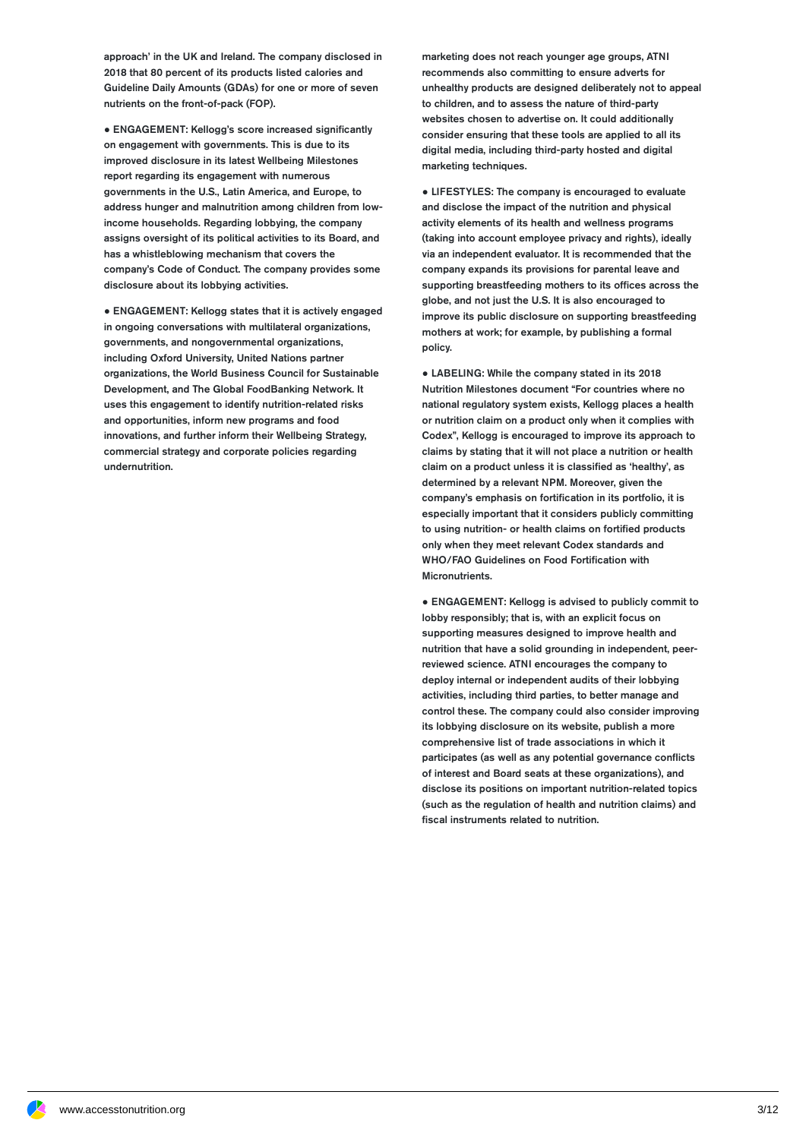approach' in the UK and Ireland. The company disclosed in 2018 that 80 percent of its products listed calories and Guideline Daily Amounts (GDAs) for one or more of seven nutrients on the front-of-pack (FOP).

● ENGAGEMENT: Kellogg's score increased signicantly on engagement with governments. This is due to its improved disclosure in its latest Wellbeing Milestones report regarding its engagement with numerous governments in the U.S., Latin America, and Europe, to address hunger and malnutrition among children from lowincome households. Regarding lobbying, the company assigns oversight of its political activities to its Board, and has a whistleblowing mechanism that covers the company's Code of Conduct. The company provides some disclosure about its lobbying activities.

● ENGAGEMENT: Kellogg states that it is actively engaged in ongoing conversations with multilateral organizations, governments, and nongovernmental organizations, including Oxford University, United Nations partner organizations, the World Business Council for Sustainable Development, and The Global FoodBanking Network. It uses this engagement to identify nutrition-related risks and opportunities, inform new programs and food innovations, and further inform their Wellbeing Strategy, commercial strategy and corporate policies regarding undernutrition.

marketing does not reach younger age groups, ATNI recommends also committing to ensure adverts for unhealthy products are designed deliberately not to appeal to children, and to assess the nature of third-party websites chosen to advertise on. It could additionally consider ensuring that these tools are applied to all its digital media, including third-party hosted and digital marketing techniques.

● LIFESTYLES: The company is encouraged to evaluate and disclose the impact of the nutrition and physical activity elements of its health and wellness programs (taking into account employee privacy and rights), ideally via an independent evaluator. It is recommended that the company expands its provisions for parental leave and supporting breastfeeding mothers to its offices across the globe, and not just the U.S. It is also encouraged to improve its public disclosure on supporting breastfeeding mothers at work; for example, by publishing a formal policy.

● LABELING: While the company stated in its 2018 Nutrition Milestones document "For countries where no national regulatory system exists, Kellogg places a health or nutrition claim on a product only when it complies with Codex", Kellogg is encouraged to improve its approach to claims by stating that it will not place a nutrition or health claim on a product unless it is classified as 'healthy', as determined by a relevant NPM. Moreover, given the company's emphasis on fortification in its portfolio, it is especially important that it considers publicly committing to using nutrition- or health claims on fortified products only when they meet relevant Codex standards and WHO/FAO Guidelines on Food Fortification with Micronutrients.

● ENGAGEMENT: Kellogg is advised to publicly commit to lobby responsibly; that is, with an explicit focus on supporting measures designed to improve health and nutrition that have a solid grounding in independent, peerreviewed science. ATNI encourages the company to deploy internal or independent audits of their lobbying activities, including third parties, to better manage and control these. The company could also consider improving its lobbying disclosure on its website, publish a more comprehensive list of trade associations in which it participates (as well as any potential governance conflicts of interest and Board seats at these organizations), and disclose its positions on important nutrition-related topics (such as the regulation of health and nutrition claims) and fiscal instruments related to nutrition.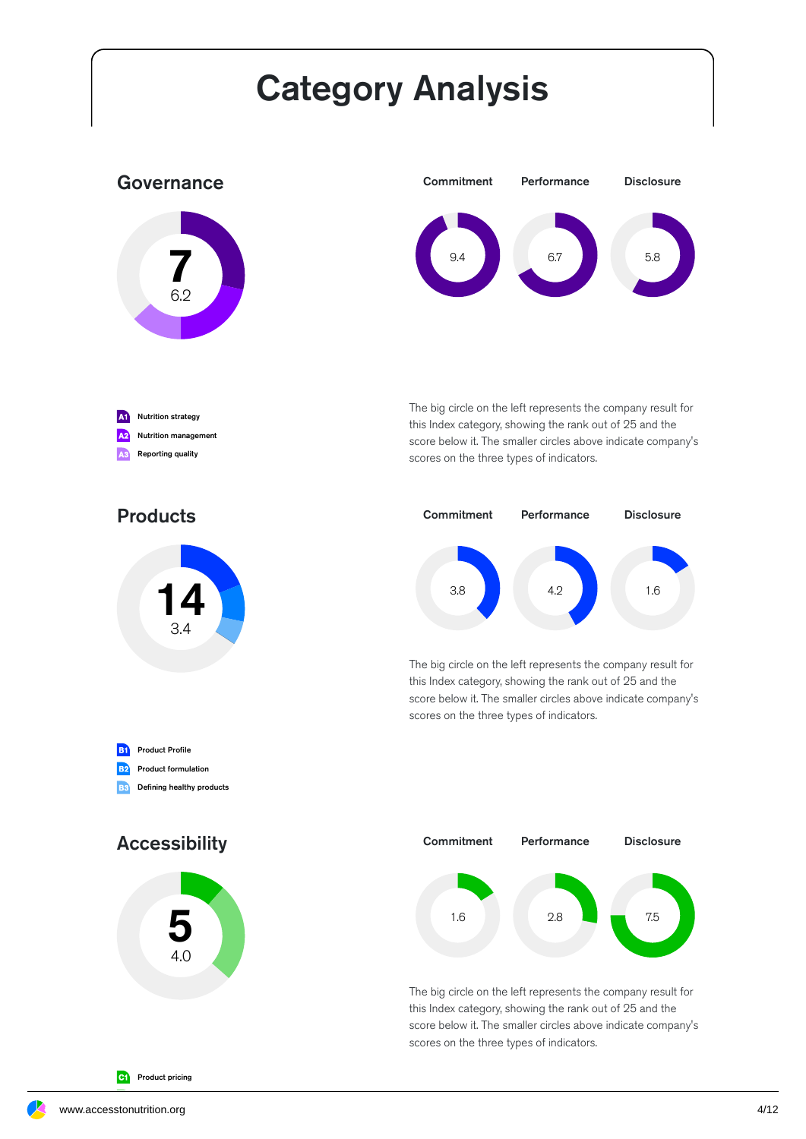# Category Analysis

#### Governance





The big circle on the left represents the company result for this Index category, showing the rank out of 25 and the score below it. The smaller circles above indicate company's scores on the three types of indicators.



The big circle on the left represents the company result for this Index category, showing the rank out of 25 and the score below it. The smaller circles above indicate company's scores on the three types of indicators.



The big circle on the left represents the company result for this Index category, showing the rank out of 25 and the score below it. The smaller circles above indicate company's scores on the three types of indicators.

#### Products

A1 Nutrition strategy **A2** Nutrition management A3 Reporting quality



**B1** Product Profile B<sub>2</sub> Product formulation **B3** Defining healthy products

Accessibility



C<sub>1</sub></sub> Product pricing

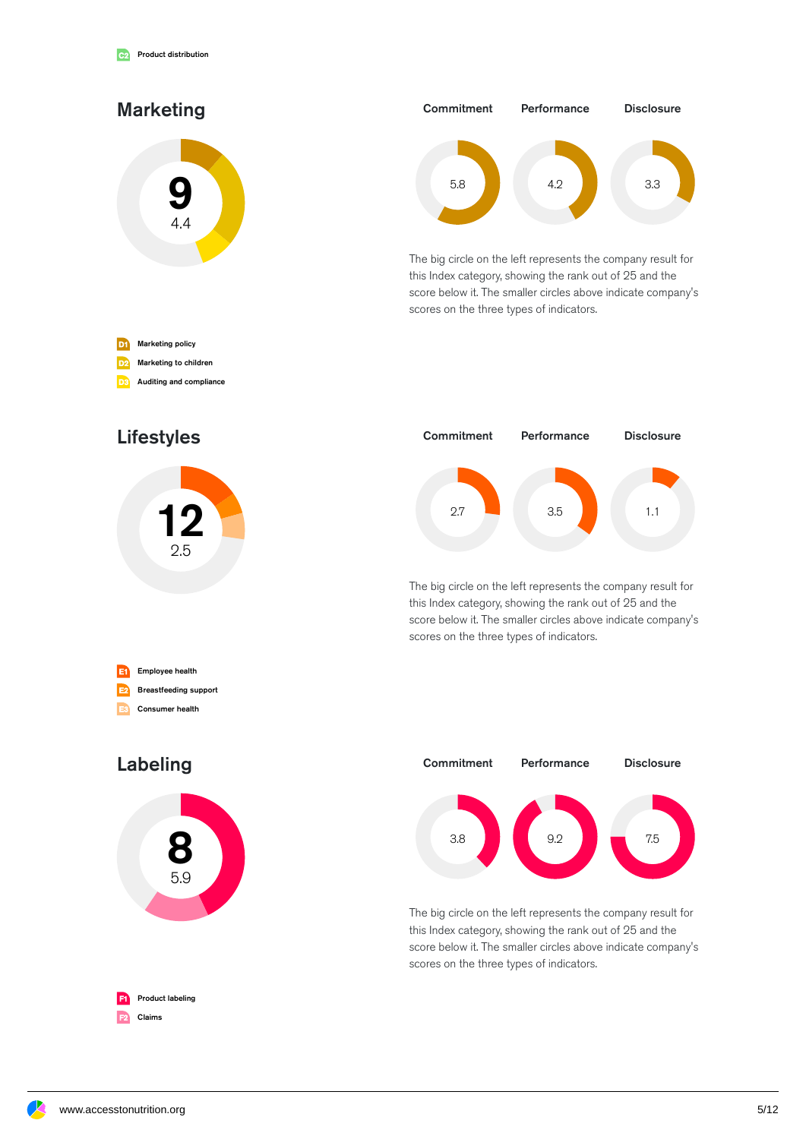

Auditing and compliance



The big circle on the left represents the company result for this Index category, showing the rank out of 25 and the score below it. The smaller circles above indicate company's scores on the three types of indicators.











The big circle on the left represents the company result for this Index category, showing the rank out of 25 and the score below it. The smaller circles above indicate company's scores on the three types of indicators.



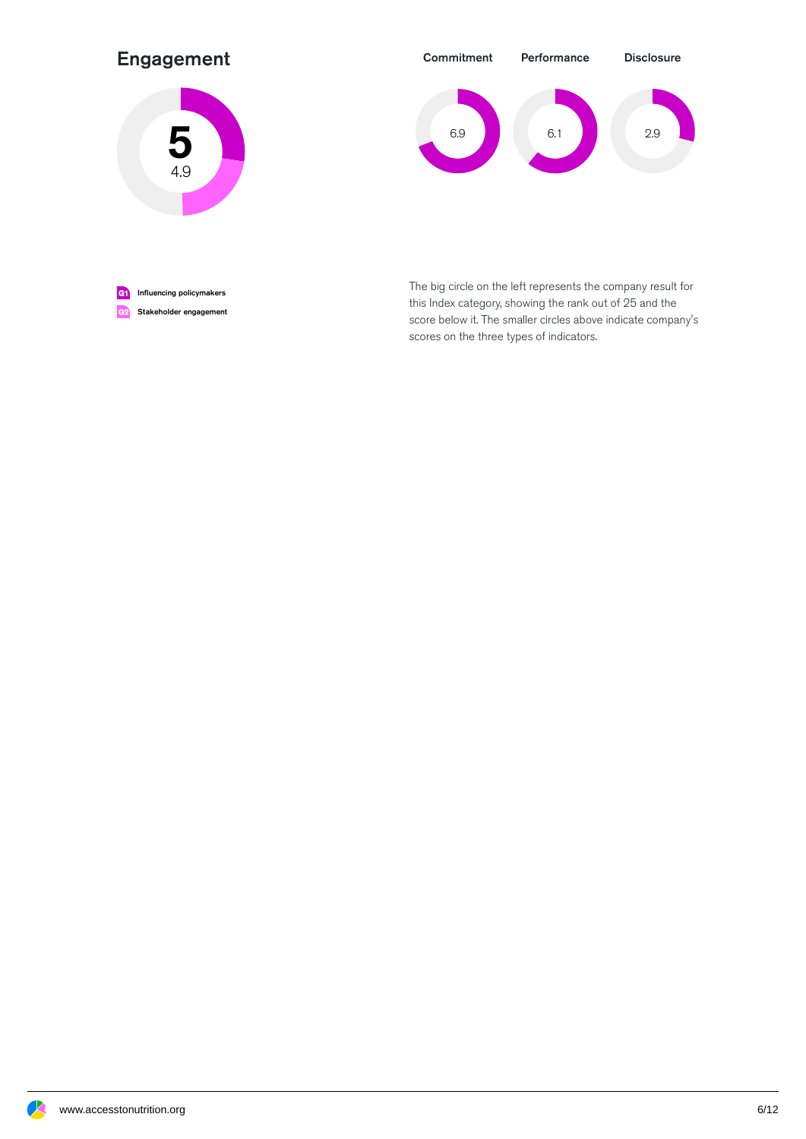#### Engagement





G1 Influencing policymakers G2 Stakeholder engagement The big circle on the left represents the company result for this Index category, showing the rank out of 25 and the score below it. The smaller circles above indicate company's scores on the three types of indicators.

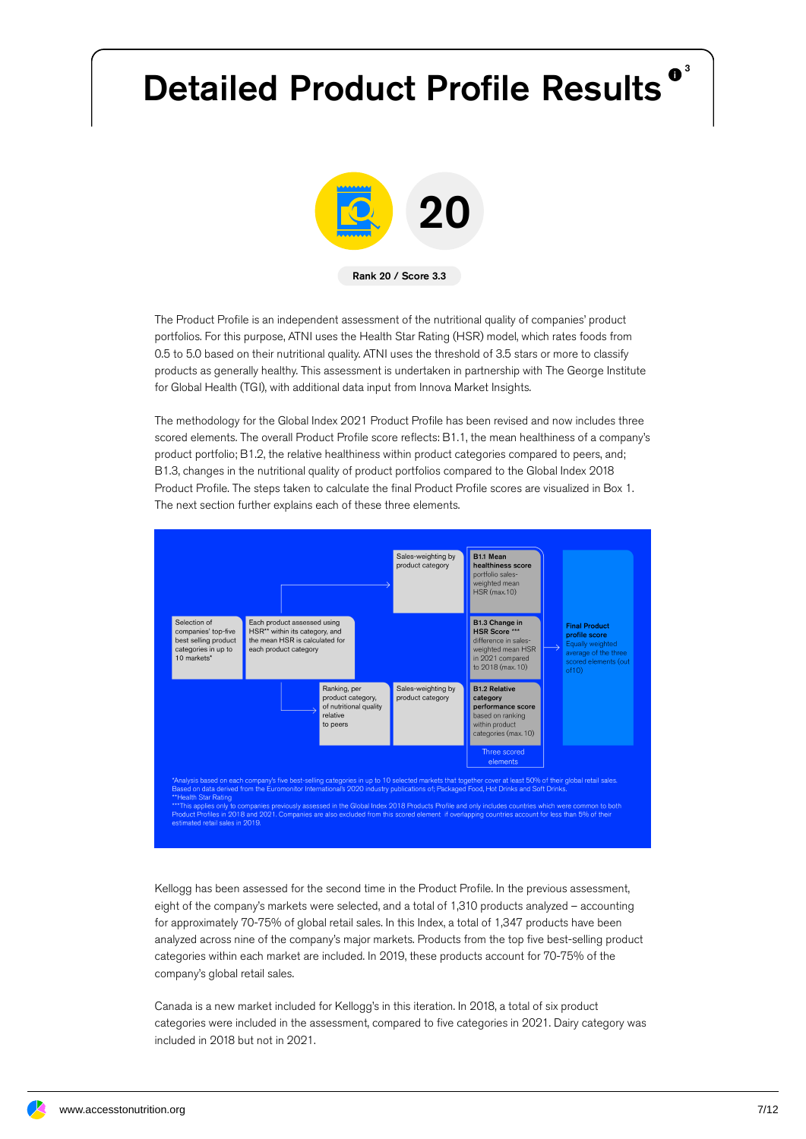# Detailed Product Profile Results<sup>®</sup>



The Product Profile is an independent assessment of the nutritional quality of companies' product portfolios. For this purpose, ATNI uses the Health Star Rating (HSR) model, which rates foods from 0.5 to 5.0 based on their nutritional quality. ATNI uses the threshold of 3.5 stars or more to classify products as generally healthy. This assessment is undertaken in partnership with The George Institute for Global Health (TGI), with additional data input from Innova Market Insights.

The methodology for the Global Index 2021 Product Profile has been revised and now includes three scored elements. The overall Product Profile score reflects: B1.1, the mean healthiness of a company's product portfolio; B1.2, the relative healthiness within product categories compared to peers, and; B1.3, changes in the nutritional quality of product portfolios compared to the Global Index 2018 Product Profile. The steps taken to calculate the final Product Profile scores are visualized in Box 1. The next section further explains each of these three elements.



Kellogg has been assessed for the second time in the Product Profile. In the previous assessment, eight of the company's markets were selected, and a total of 1,310 products analyzed – accounting for approximately 70-75% of global retail sales. In this Index, a total of 1,347 products have been analyzed across nine of the company's major markets. Products from the top five best-selling product categories within each market are included. In 2019, these products account for 70-75% of the company's global retail sales.

Canada is a new market included for Kellogg's in this iteration. In 2018, a total of six product categories were included in the assessment, compared to five categories in 2021. Dairy category was included in 2018 but not in 2021.

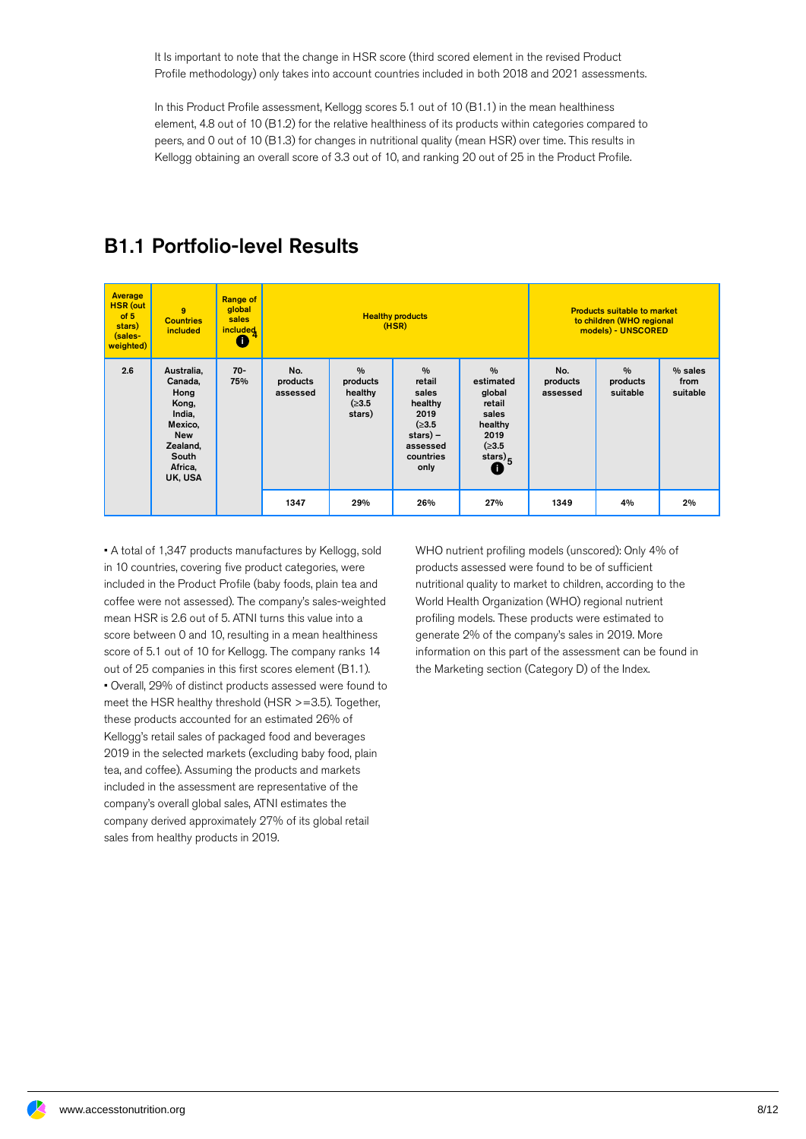It Is important to note that the change in HSR score (third scored element in the revised Product Profile methodology) only takes into account countries included in both 2018 and 2021 assessments.

In this Product Profile assessment, Kellogg scores 5.1 out of 10 (B1.1) in the mean healthiness element, 4.8 out of 10 (B1.2) for the relative healthiness of its products within categories compared to peers, and 0 out of 10 (B1.3) for changes in nutritional quality (mean HSR) over time. This results in Kellogg obtaining an overall score of 3.3 out of 10, and ranking 20 out of 25 in the Product Profile.

#### **Average** HSR (out of 5 stars) (sales weighted)  $\alpha$ **Countries** included Range of global sales **included Healthy products** (HSR) Products suitable to market to children (WHO regional models) - UNSCORED 2.6 Australia, Canada, Hong Kong, India, Mexico, New Zealand, South Africa, UK, USA 70- 75% No. products assessed  $0/$ products healthy (≥3.5 stars)  $\frac{9}{6}$ retail sales healthy 2019 (≥3.5 stars) – assessed countries only % estimated global retail sales healthy 2019 (≥3.5 stars) $\overline{\bullet}$ <sup>5</sup> No. products assessed % products suitable % sales from suitable 1347 | 29% | 26% | 27% | 1349 | 4% | 2% |  $\mathbf 0$

### B1.1 Portfolio-level Results

• A total of 1,347 products manufactures by Kellogg, sold in 10 countries, covering five product categories, were included in the Product Profile (baby foods, plain tea and coffee were not assessed). The company's sales-weighted mean HSR is 2.6 out of 5. ATNI turns this value into a score between 0 and 10, resulting in a mean healthiness score of 5.1 out of 10 for Kellogg. The company ranks 14 out of 25 companies in this first scores element (B1.1). • Overall, 29% of distinct products assessed were found to meet the HSR healthy threshold (HSR >=3.5). Together, these products accounted for an estimated 26% of Kellogg's retail sales of packaged food and beverages 2019 in the selected markets (excluding baby food, plain tea, and coffee). Assuming the products and markets included in the assessment are representative of the company's overall global sales, ATNI estimates the company derived approximately 27% of its global retail sales from healthy products in 2019.

WHO nutrient profiling models (unscored): Only 4% of products assessed were found to be of sufficient nutritional quality to market to children, according to the World Health Organization (WHO) regional nutrient profiling models. These products were estimated to generate 2% of the company's sales in 2019. More information on this part of the assessment can be found in the Marketing section (Category D) of the Index.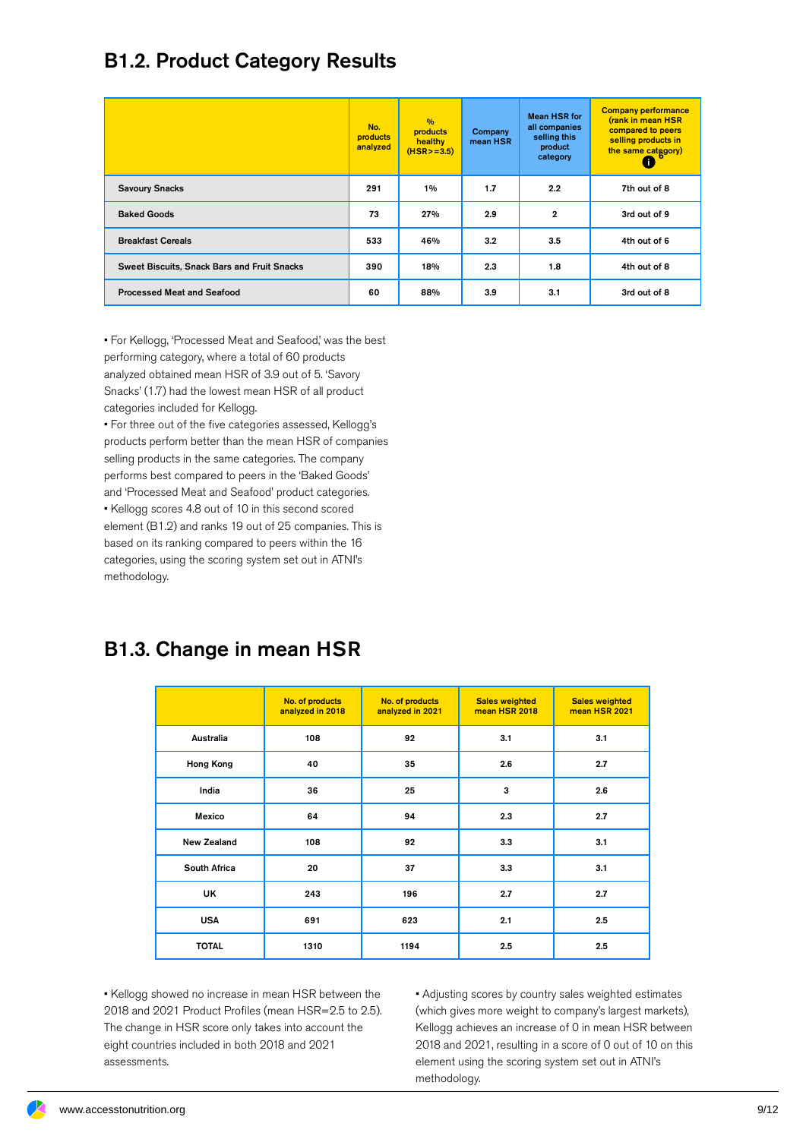### B1.2. Product Category Results

|                                             | No.<br>products<br>analyzed | $\frac{0}{0}$<br>products<br>healthy<br>$(HSR > = 3.5)$ | Company<br>mean HSR | <b>Mean HSR for</b><br>all companies<br>selling this<br>product<br>category | <b>Company performance</b><br>(rank in mean HSR<br>compared to peers<br>selling products in<br>the same category) |
|---------------------------------------------|-----------------------------|---------------------------------------------------------|---------------------|-----------------------------------------------------------------------------|-------------------------------------------------------------------------------------------------------------------|
| <b>Savoury Snacks</b>                       | 291                         | 1%                                                      | 1.7                 | 2.2                                                                         | 7th out of 8                                                                                                      |
| <b>Baked Goods</b>                          | 73                          | 27%                                                     | 2.9                 | $\mathbf{2}$                                                                | 3rd out of 9                                                                                                      |
| <b>Breakfast Cereals</b>                    | 533                         | 46%                                                     | 3.2                 | 3.5                                                                         | 4th out of 6                                                                                                      |
| Sweet Biscuits, Snack Bars and Fruit Snacks | 390                         | 18%                                                     | 2.3                 | 1.8                                                                         | 4th out of 8                                                                                                      |
| <b>Processed Meat and Seafood</b>           | 60                          | 88%                                                     | 3.9                 | 3.1                                                                         | 3rd out of 8                                                                                                      |

• For Kellogg, 'Processed Meat and Seafood,' was the best performing category, where a total of 60 products analyzed obtained mean HSR of 3.9 out of 5. 'Savory Snacks' (1.7) had the lowest mean HSR of all product categories included for Kellogg.

• For three out of the five categories assessed, Kellogg's products perform better than the mean HSR of companies selling products in the same categories. The company performs best compared to peers in the 'Baked Goods' and 'Processed Meat and Seafood' product categories. • Kellogg scores 4.8 out of 10 in this second scored

element (B1.2) and ranks 19 out of 25 companies. This is based on its ranking compared to peers within the 16 categories, using the scoring system set out in ATNI's methodology.

### B1.3. Change in mean HSR

|                    | No. of products<br>analyzed in 2018 | No. of products<br>analyzed in 2021 | <b>Sales weighted</b><br>mean HSR 2018 | <b>Sales weighted</b><br>mean HSR 2021 |
|--------------------|-------------------------------------|-------------------------------------|----------------------------------------|----------------------------------------|
| Australia          | 108                                 | 92                                  | 3.1                                    | 3.1                                    |
| Hong Kong          | 40                                  | 35                                  | 2.6                                    | 2.7                                    |
| India              | 36                                  | 25                                  | 3                                      | 2.6                                    |
| Mexico             | 64                                  | 94                                  | 2.3                                    | 2.7                                    |
| <b>New Zealand</b> | 108                                 | 92                                  | 3.3                                    | 3.1                                    |
| South Africa       | 20                                  | 37                                  | 3.3                                    | 3.1                                    |
| UK                 | 243                                 | 196                                 | 2.7                                    | 2.7                                    |
| <b>USA</b>         | 691                                 | 623                                 | 2.1                                    | 2.5                                    |
| <b>TOTAL</b>       | 1310                                | 1194                                | 2.5                                    | 2.5                                    |

• Kellogg showed no increase in mean HSR between the 2018 and 2021 Product Profiles (mean HSR=2.5 to 2.5). The change in HSR score only takes into account the eight countries included in both 2018 and 2021 assessments.

• Adjusting scores by country sales weighted estimates (which gives more weight to company's largest markets), Kellogg achieves an increase of 0 in mean HSR between 2018 and 2021, resulting in a score of 0 out of 10 on this element using the scoring system set out in ATNI's methodology.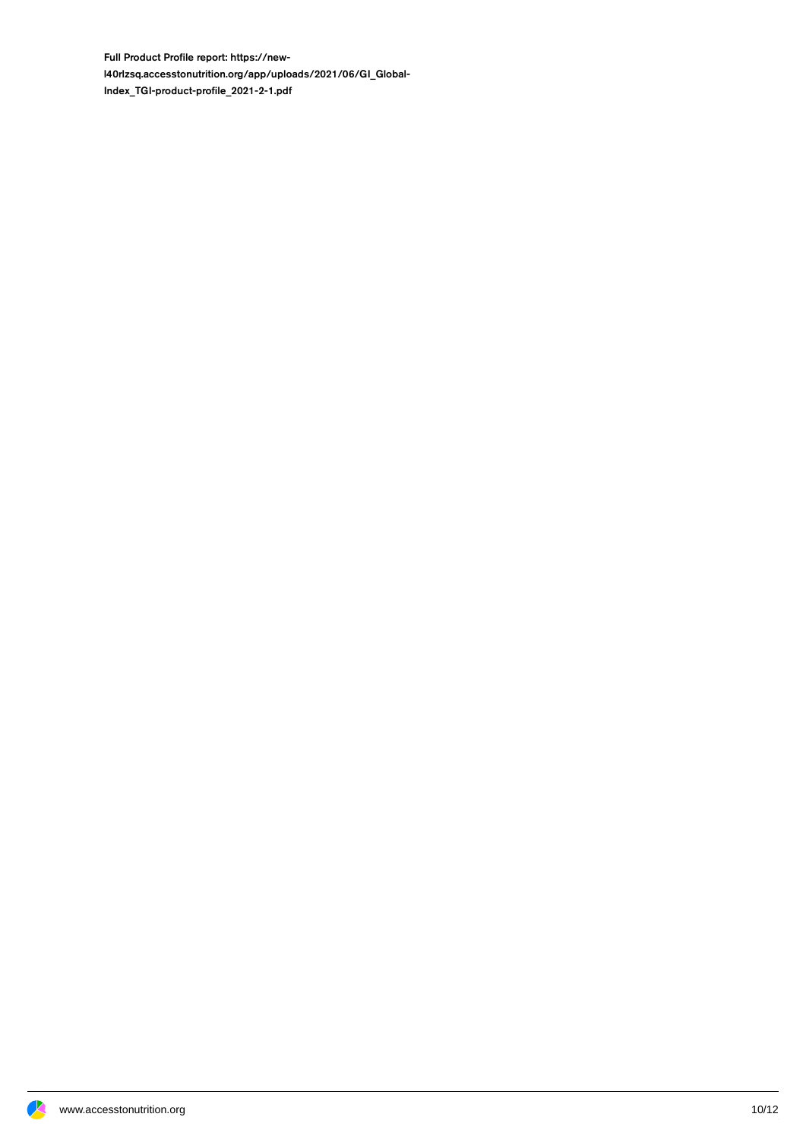Full Product Profile report: https://newl40rlzsq.accesstonutrition.org/app/uploads/2021/06/GI\_Global-Index\_TGI-product-profile\_2021-2-1.pdf

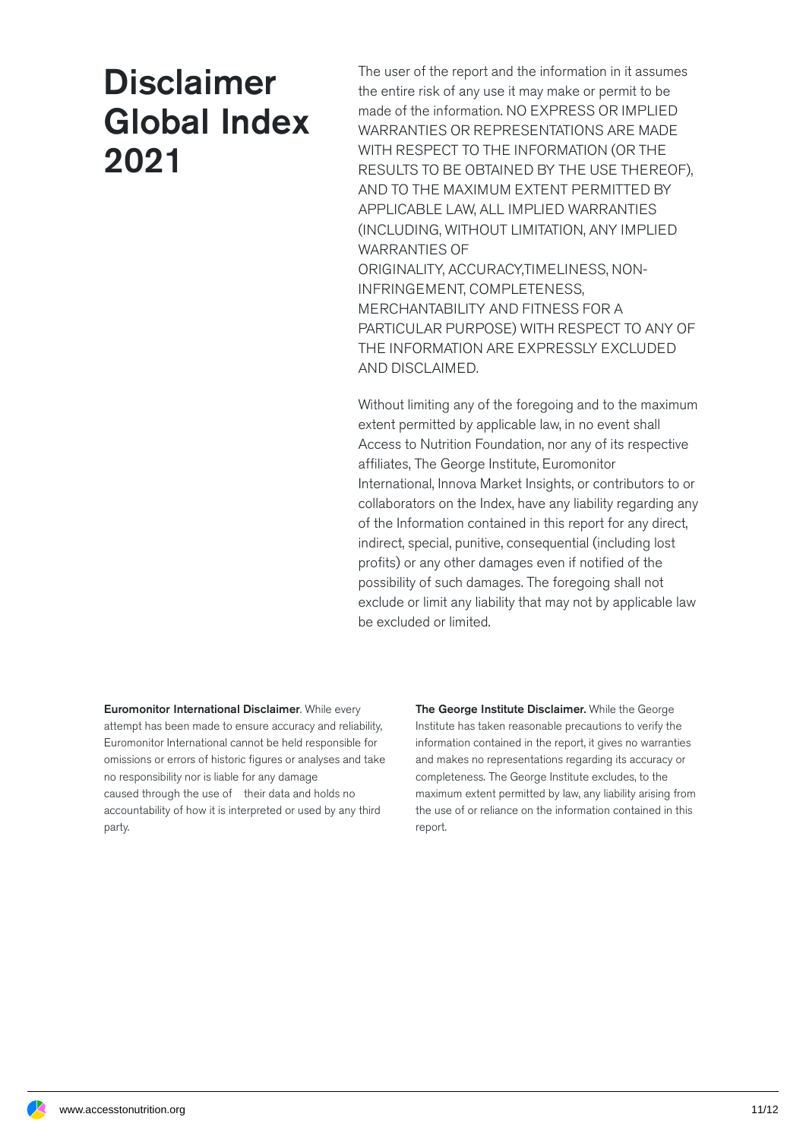## **Disclaimer** Global Index 2021

The user of the report and the information in it assumes the entire risk of any use it may make or permit to be made of the information. NO EXPRESS OR IMPLIED WARRANTIES OR REPRESENTATIONS ARE MADE WITH RESPECT TO THE INFORMATION (OR THE RESULTS TO BE OBTAINED BY THE USE THEREOF), AND TO THE MAXIMUM EXTENT PERMITTED BY APPLICABLE LAW, ALL IMPLIED WARRANTIES (INCLUDING, WITHOUT LIMITATION, ANY IMPLIED WARRANTIES OF ORIGINALITY, ACCURACY,TIMELINESS, NON-INFRINGEMENT, COMPLETENESS, MERCHANTABILITY AND FITNESS FOR A PARTICULAR PURPOSE) WITH RESPECT TO ANY OF THE INFORMATION ARE EXPRESSLY EXCLUDED AND DISCLAIMED.

Without limiting any of the foregoing and to the maximum extent permitted by applicable law, in no event shall Access to Nutrition Foundation, nor any of its respective affiliates, The George Institute, Euromonitor International, Innova Market Insights, or contributors to or collaborators on the Index, have any liability regarding any of the Information contained in this report for any direct, indirect, special, punitive, consequential (including lost profits) or any other damages even if notified of the possibility of such damages. The foregoing shall not exclude or limit any liability that may not by applicable law be excluded or limited.

Euromonitor International Disclaimer. While every attempt has been made to ensure accuracy and reliability, Euromonitor International cannot be held responsible for omissions or errors of historic figures or analyses and take no responsibility nor is liable for any damage caused through the use of their data and holds no accountability of how it is interpreted or used by any third party.

The George Institute Disclaimer. While the George Institute has taken reasonable precautions to verify the information contained in the report, it gives no warranties and makes no representations regarding its accuracy or completeness. The George Institute excludes, to the maximum extent permitted by law, any liability arising from the use of or reliance on the information contained in this report.